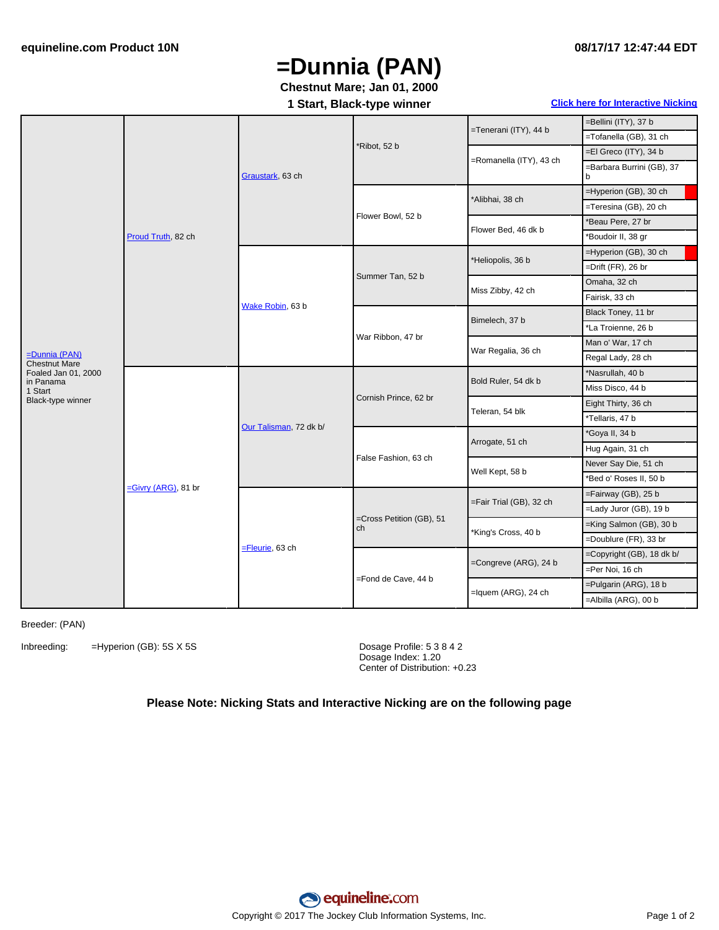# **=Dunnia (PAN)**

### **Chestnut Mare; Jan 01, 2000**

### **08/17/17 12:47:44 EDT**

#### **1 Start, Black-type winner Click here for [Interactive](#page-1-0) Nicking**

|                                                                                                              | Proud Truth, 82 ch  | Graustark, 63 ch       | *Ribot, 52 b                   | =Tenerani (ITY), 44 b   | =Bellini (ITY), 37 b           |
|--------------------------------------------------------------------------------------------------------------|---------------------|------------------------|--------------------------------|-------------------------|--------------------------------|
|                                                                                                              |                     |                        |                                |                         | =Tofanella (GB), 31 ch         |
|                                                                                                              |                     |                        |                                | =Romanella (ITY), 43 ch | =El Greco (ITY), 34 b          |
|                                                                                                              |                     |                        |                                |                         | =Barbara Burrini (GB), 37<br>b |
|                                                                                                              |                     |                        | Flower Bowl, 52 b              | *Alibhai, 38 ch         | =Hyperion (GB), 30 ch          |
|                                                                                                              |                     |                        |                                |                         | =Teresina (GB), 20 ch          |
|                                                                                                              |                     |                        |                                | Flower Bed, 46 dk b     | *Beau Pere, 27 br              |
|                                                                                                              |                     |                        |                                |                         | *Boudoir II, 38 gr             |
| $=$ Dunnia (PAN)<br><b>Chestnut Mare</b><br>Foaled Jan 01, 2000<br>in Panama<br>1 Start<br>Black-type winner |                     | Wake Robin, 63 b       | Summer Tan, 52 b               | *Heliopolis, 36 b       | =Hyperion (GB), 30 ch          |
|                                                                                                              |                     |                        |                                |                         | =Drift (FR), 26 br             |
|                                                                                                              |                     |                        |                                | Miss Zibby, 42 ch       | Omaha, 32 ch                   |
|                                                                                                              |                     |                        |                                |                         | Fairisk, 33 ch                 |
|                                                                                                              |                     |                        | War Ribbon, 47 br              | Bimelech, 37 b          | Black Toney, 11 br             |
|                                                                                                              |                     |                        |                                |                         | *La Troienne, 26 b             |
|                                                                                                              |                     |                        |                                | War Regalia, 36 ch      | Man o' War, 17 ch              |
|                                                                                                              |                     |                        |                                |                         | Regal Lady, 28 ch              |
|                                                                                                              | -Givry (ARG), 81 br | Our Talisman, 72 dk b/ | Cornish Prince, 62 br          | Bold Ruler, 54 dk b     | *Nasrullah, 40 b               |
|                                                                                                              |                     |                        |                                |                         | Miss Disco, 44 b               |
|                                                                                                              |                     |                        |                                | Teleran, 54 blk         | Eight Thirty, 36 ch            |
|                                                                                                              |                     |                        |                                |                         | *Tellaris, 47 b                |
|                                                                                                              |                     |                        | False Fashion, 63 ch           | Arrogate, 51 ch         | ʻGoya II, 34 b                 |
|                                                                                                              |                     |                        |                                |                         | Hug Again, 31 ch               |
|                                                                                                              |                     |                        |                                | Well Kept, 58 b         | Never Say Die, 51 ch           |
|                                                                                                              |                     |                        |                                |                         | *Bed o' Roses II, 50 b         |
|                                                                                                              |                     | $=$ Fleurie, 63 ch     | =Cross Petition (GB), 51<br>ch | =Fair Trial (GB), 32 ch | =Fairway (GB), 25 b            |
|                                                                                                              |                     |                        |                                |                         | =Lady Juror (GB), 19 b         |
|                                                                                                              |                     |                        |                                | *King's Cross, 40 b     | =King Salmon (GB), 30 b        |
|                                                                                                              |                     |                        |                                |                         | =Doublure (FR), 33 br          |
|                                                                                                              |                     |                        | =Fond de Cave, 44 b            | =Congreve (ARG), 24 b   | =Copyright (GB), 18 dk b/      |
|                                                                                                              |                     |                        |                                |                         | =Per Noi, 16 ch                |
|                                                                                                              |                     |                        |                                | $=$ Iquem (ARG), 24 ch  | =Pulgarin (ARG), 18 b          |
|                                                                                                              |                     |                        |                                |                         | =Albilla (ARG), 00 b           |

Breeder: (PAN)

Inbreeding: =Hyperion (GB): 5S X 5S Dosage Profile: 5 3 8 4 2

Dosage Index: 1.20 Center of Distribution: +0.23

#### **Please Note: Nicking Stats and Interactive Nicking are on the following page**